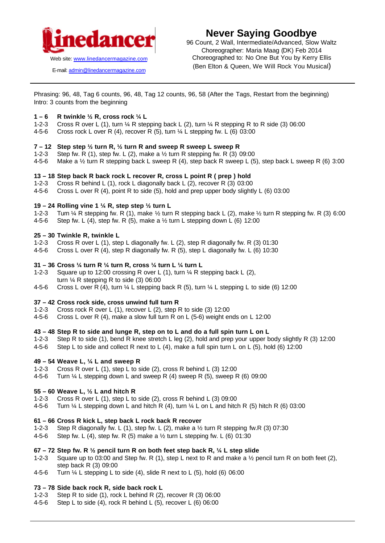

E-mail: admin@linedancermagazine.com

# **Never Saying Goodbye**

96 Count, 2 Wall, Intermediate/Advanced, Slow Waltz Choreographer: Maria Maag (DK) Feb 2014 Choreographed to: No One But You by Kerry Ellis (Ben Elton & Queen, We Will Rock You Musical)

Phrasing: 96, 48, Tag 6 counts, 96, 48, Tag 12 counts, 96, 58 (After the Tags, Restart from the beginning) Intro: 3 counts from the beginning

## **1 – 6 R twinkle ½ R, cross rock ¼ L**

- 1-2-3 Cross R over L (1), turn ¼ R stepping back L (2), turn ¼ R stepping R to R side (3) 06:00
- 4-5-6 Cross rock L over R (4), recover R (5), turn  $\frac{1}{4}$  L stepping fw. L (6) 03:00

#### **7 – 12 Step step ½ turn R, ½ turn R and sweep R sweep L sweep R**

- 1-2-3 Step fw. R (1), step fw. L (2), make a  $\frac{1}{2}$  turn R stepping fw. R (3) 09:00
- 4-5-6 Make a ½ turn R stepping back L sweep R (4), step back R sweep L (5), step back L sweep R (6) 3:00

#### **13 – 18 Step back R back rock L recover R, cross L point R ( prep ) hold**

- 1-2-3 Cross R behind L (1), rock L diagonally back L (2), recover R (3) 03:00
- 4-5-6 Cross L over R (4), point R to side (5), hold and prep upper body slightly L (6) 03:00

#### **19 – 24 Rolling vine 1 ¼ R, step step ½ turn L**

- 1-2-3 Turn ¼ R stepping fw. R (1), make ½ turn R stepping back L (2), make ½ turn R stepping fw. R (3) 6:00
- 4-5-6 Step fw. L (4), step fw. R (5), make a  $\frac{1}{2}$  turn L stepping down L (6) 12:00

#### **25 – 30 Twinkle R, twinkle L**

- 1-2-3 Cross R over L (1), step L diagonally fw. L (2), step R diagonally fw. R (3) 01:30
- 4-5-6 Cross L over R (4), step R diagonally fw. R (5), step L diagonally fw. L (6) 10:30

## **31 – 36 Cross ¼ turn R ¼ turn R, cross ¼ turn L ¼ turn L**

- 1-2-3 Square up to 12:00 crossing R over L (1), turn ¼ R stepping back L (2), turn  $\frac{1}{4}$  R stepping R to side (3) 06:00
- 4-5-6 Cross L over R (4), turn  $\frac{1}{4}$  L stepping back R (5), turn  $\frac{1}{4}$  L stepping L to side (6) 12:00

#### **37 – 42 Cross rock side, cross unwind full turn R**

- 1-2-3 Cross rock R over L (1), recover L (2), step R to side (3) 12:00
- 4-5-6 Cross L over R (4), make a slow full turn R on L (5-6) weight ends on L 12:00

## **43 – 48 Step R to side and lunge R, step on to L and do a full spin turn L on L**

- 1-2-3 Step R to side (1), bend R knee stretch L leg (2), hold and prep your upper body slightly R (3) 12:00
- 4-5-6 Step L to side and collect R next to L (4), make a full spin turn L on L (5), hold (6) 12:00

## **49 – 54 Weave L, ¼ L and sweep R**

- 1-2-3 Cross R over L (1), step L to side (2), cross R behind L (3) 12:00
- 4-5-6 Turn ¼ L stepping down L and sweep R (4) sweep R (5), sweep R (6) 09:00

## **55 – 60 Weave L, ½ L and hitch R**

- 1-2-3 Cross R over L (1), step L to side (2), cross R behind L (3) 09:00
- 4-5-6 Turn  $\frac{1}{4}$  L stepping down L and hitch R (4), turn  $\frac{1}{4}$  L on L and hitch R (5) hitch R (6) 03:00

## **61 – 66 Cross R kick L, step back L rock back R recover**

- 1-2-3 Step R diagonally fw. L (1), step fw. L (2), make a ½ turn R stepping fw.R (3) 07:30
- 4-5-6 Step fw. L (4), step fw. R (5) make a  $\frac{1}{2}$  turn L stepping fw. L (6) 01:30

## **67 – 72 Step fw. R ½ pencil turn R on both feet step back R, ¼ L step slide**

- 1-2-3 Square up to 03:00 and Step fw. R (1), step L next to R and make a ½ pencil turn R on both feet (2), step back R (3) 09:00
- 4-5-6 Turn ¼ L stepping L to side (4), slide R next to L (5), hold (6) 06:00

## **73 – 78 Side back rock R, side back rock L**

- 1-2-3 Step R to side (1), rock L behind R (2), recover R (3) 06:00
- 4-5-6 Step L to side (4), rock R behind L (5), recover L (6) 06:00